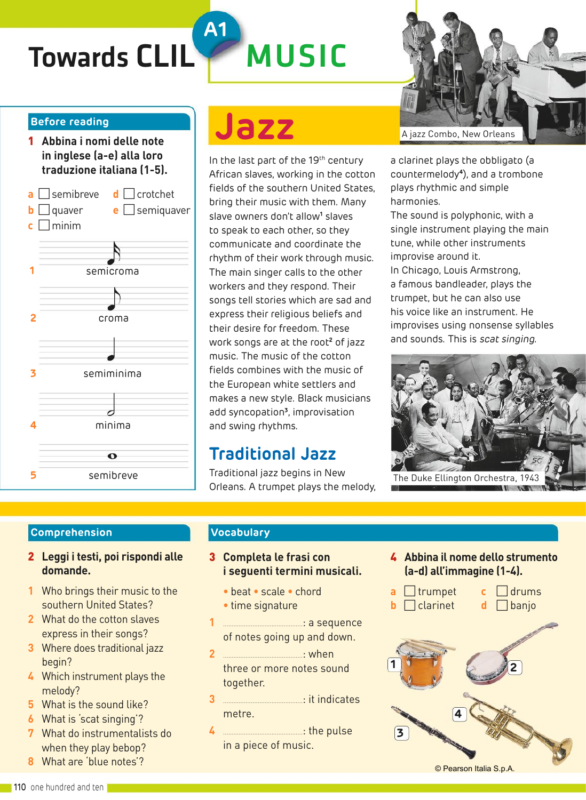## Towards CLIL MUSIC

### **Before reading**

1 **Abbina i nomi delle note in inglese (a-e) alla loro traduzione italiana (1-5).**



# **Jazz**

**A1**

In the last part of the 19<sup>th</sup> century African slaves, working in the cotton fields of the southern United States, bring their music with them. Many slave owners don't allow**<sup>1</sup>** slaves to speak to each other, so they communicate and coordinate the rhythm of their work through music. The main singer calls to the other workers and they respond. Their songs tell stories which are sad and express their religious beliefs and their desire for freedom. These work songs are at the root**<sup>2</sup>** of jazz music. The music of the cotton fields combines with the music of the European white settlers and makes a new style. Black musicians add syncopation**<sup>3</sup>** , improvisation and swing rhythms.

### **Traditional Jazz**

Traditional jazz begins in New Orleans. A trumpet plays the melody,



a clarinet plays the obbligato (a countermelody**<sup>4</sup>** ), and a trombone plays rhythmic and simple harmonies.

The sound is polyphonic, with a single instrument playing the main tune, while other instruments improvise around it.

In Chicago, Louis Armstrong, a famous bandleader, plays the trumpet, but he can also use his voice like an instrument. He improvises using nonsense syllables and sounds. This is scat singing.



#### **Comprehension**

- 2 **Leggi i testi, poi rispondi alle domande.**
- **1** Who brings their music to the southern United States?
- **2** What do the cotton slaves express in their songs?
- **3** Where does traditional jazz begin?
- **4** Which instrument plays the melody?
- **5** What is the sound like?
- **6** What is 'scat singing'?
- **7** What do instrumentalists do when they play bebop?
- **8** What are 'blue notes'?

### **Vocabulary**

### 3 **Completa le frasi con i seguenti termini musicali.**

- **•** beat **•** scale **•** chord
- **•** time signature
- **1** ..............................................: a sequence of notes going up and down.
- **2** ..............................................: when three or more notes sound together.
- **3** ..............................................: it indicates metre.
- **4** ..............................................: the pulse in a piece of music.

4 **Abbina il nome dello strumento (a-d) all'immagine (1-4).**



© Pearson Italia S.p.A.